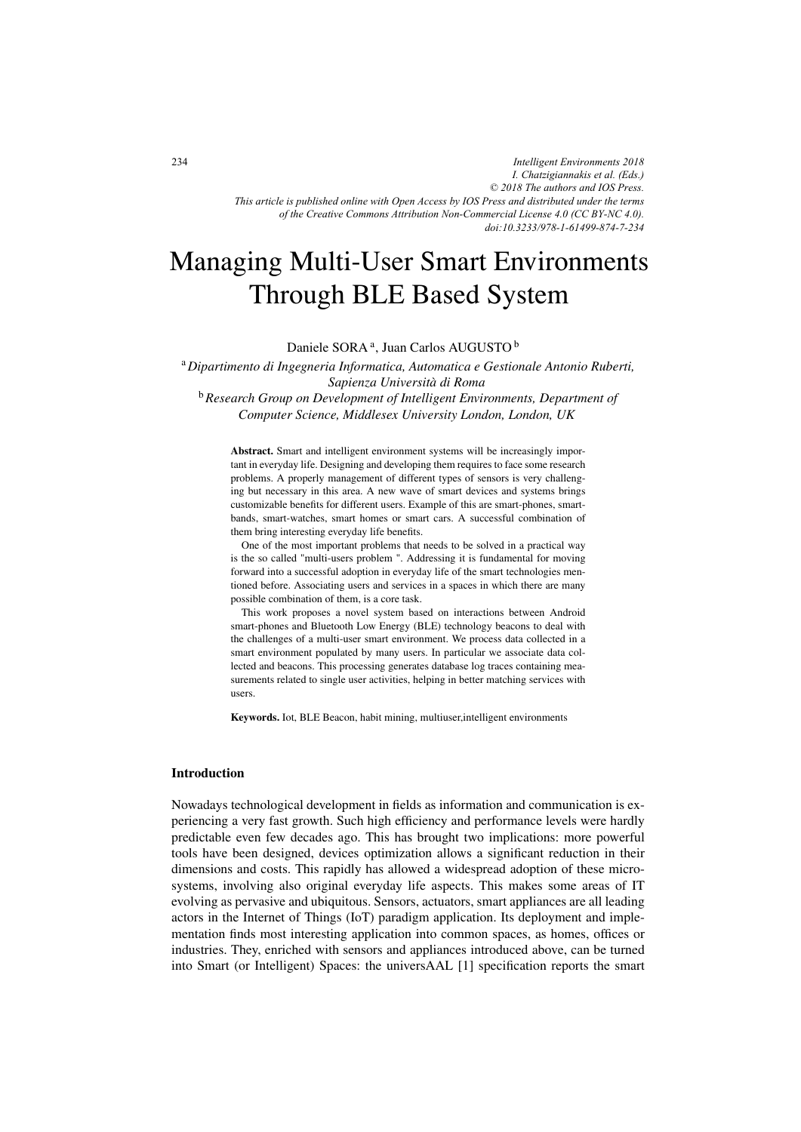# Managing Multi-User Smart Environments Through BLE Based System

Daniele SORA<sup>a</sup>, Juan Carlos AUGUSTO <sup>b</sup>

<sup>a</sup>*Dipartimento di Ingegneria Informatica, Automatica e Gestionale Antonio Ruberti, Sapienza Università di Roma* <sup>b</sup>*Research Group on Development of Intelligent Environments, Department of*

*Computer Science, Middlesex University London, London, UK*

Abstract. Smart and intelligent environment systems will be increasingly important in everyday life. Designing and developing them requires to face some research problems. A properly management of different types of sensors is very challenging but necessary in this area. A new wave of smart devices and systems brings customizable benefits for different users. Example of this are smart-phones, smartbands, smart-watches, smart homes or smart cars. A successful combination of them bring interesting everyday life benefits.

One of the most important problems that needs to be solved in a practical way is the so called "multi-users problem ". Addressing it is fundamental for moving forward into a successful adoption in everyday life of the smart technologies mentioned before. Associating users and services in a spaces in which there are many possible combination of them, is a core task.

This work proposes a novel system based on interactions between Android smart-phones and Bluetooth Low Energy (BLE) technology beacons to deal with the challenges of a multi-user smart environment. We process data collected in a smart environment populated by many users. In particular we associate data collected and beacons. This processing generates database log traces containing measurements related to single user activities, helping in better matching services with users.

Keywords. Iot, BLE Beacon, habit mining, multiuser,intelligent environments

# Introduction

Nowadays technological development in fields as information and communication is experiencing a very fast growth. Such high efficiency and performance levels were hardly predictable even few decades ago. This has brought two implications: more powerful tools have been designed, devices optimization allows a significant reduction in their dimensions and costs. This rapidly has allowed a widespread adoption of these microsystems, involving also original everyday life aspects. This makes some areas of IT evolving as pervasive and ubiquitous. Sensors, actuators, smart appliances are all leading actors in the Internet of Things (IoT) paradigm application. Its deployment and implementation finds most interesting application into common spaces, as homes, offices or industries. They, enriched with sensors and appliances introduced above, can be turned into Smart (or Intelligent) Spaces: the universAAL [1] specification reports the smart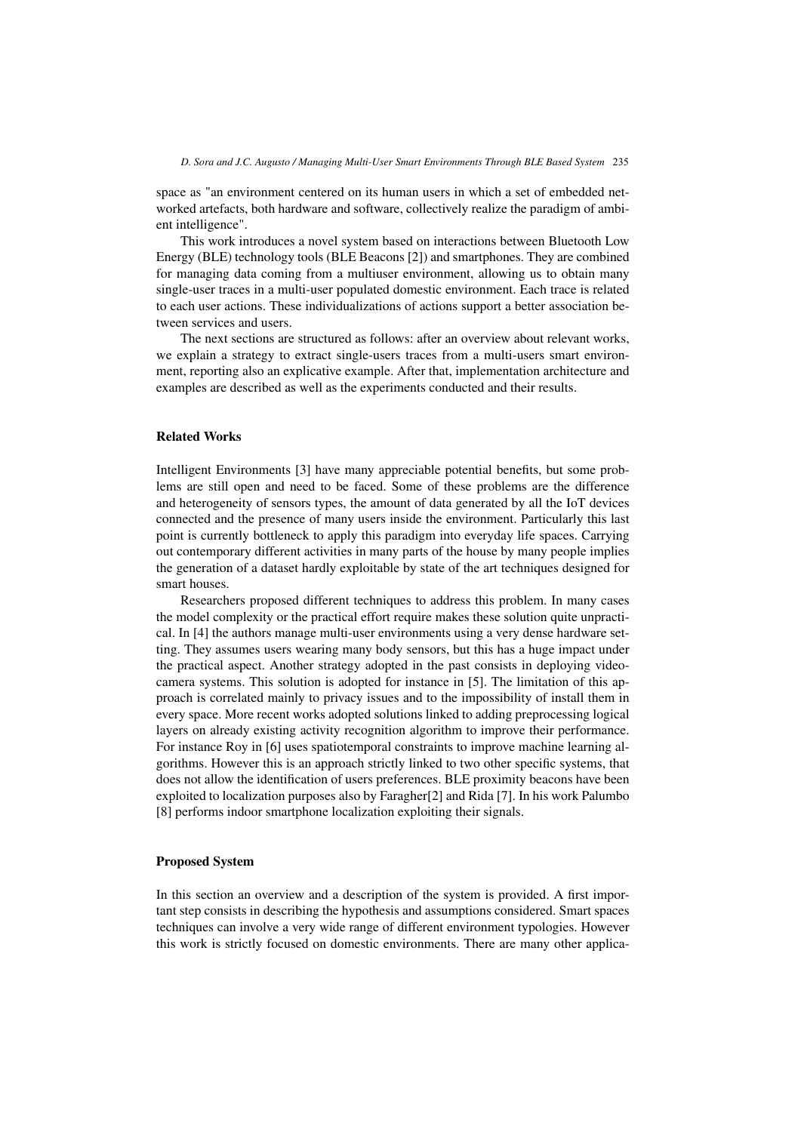space as "an environment centered on its human users in which a set of embedded networked artefacts, both hardware and software, collectively realize the paradigm of ambient intelligence".

This work introduces a novel system based on interactions between Bluetooth Low Energy (BLE) technology tools (BLE Beacons [2]) and smartphones. They are combined for managing data coming from a multiuser environment, allowing us to obtain many single-user traces in a multi-user populated domestic environment. Each trace is related to each user actions. These individualizations of actions support a better association between services and users.

The next sections are structured as follows: after an overview about relevant works, we explain a strategy to extract single-users traces from a multi-users smart environment, reporting also an explicative example. After that, implementation architecture and examples are described as well as the experiments conducted and their results.

## Related Works

Intelligent Environments [3] have many appreciable potential benefits, but some problems are still open and need to be faced. Some of these problems are the difference and heterogeneity of sensors types, the amount of data generated by all the IoT devices connected and the presence of many users inside the environment. Particularly this last point is currently bottleneck to apply this paradigm into everyday life spaces. Carrying out contemporary different activities in many parts of the house by many people implies the generation of a dataset hardly exploitable by state of the art techniques designed for smart houses.

Researchers proposed different techniques to address this problem. In many cases the model complexity or the practical effort require makes these solution quite unpractical. In [4] the authors manage multi-user environments using a very dense hardware setting. They assumes users wearing many body sensors, but this has a huge impact under the practical aspect. Another strategy adopted in the past consists in deploying videocamera systems. This solution is adopted for instance in [5]. The limitation of this approach is correlated mainly to privacy issues and to the impossibility of install them in every space. More recent works adopted solutions linked to adding preprocessing logical layers on already existing activity recognition algorithm to improve their performance. For instance Roy in [6] uses spatiotemporal constraints to improve machine learning algorithms. However this is an approach strictly linked to two other specific systems, that does not allow the identification of users preferences. BLE proximity beacons have been exploited to localization purposes also by Faragher[2] and Rida [7]. In his work Palumbo [8] performs indoor smartphone localization exploiting their signals.

# Proposed System

In this section an overview and a description of the system is provided. A first important step consists in describing the hypothesis and assumptions considered. Smart spaces techniques can involve a very wide range of different environment typologies. However this work is strictly focused on domestic environments. There are many other applica-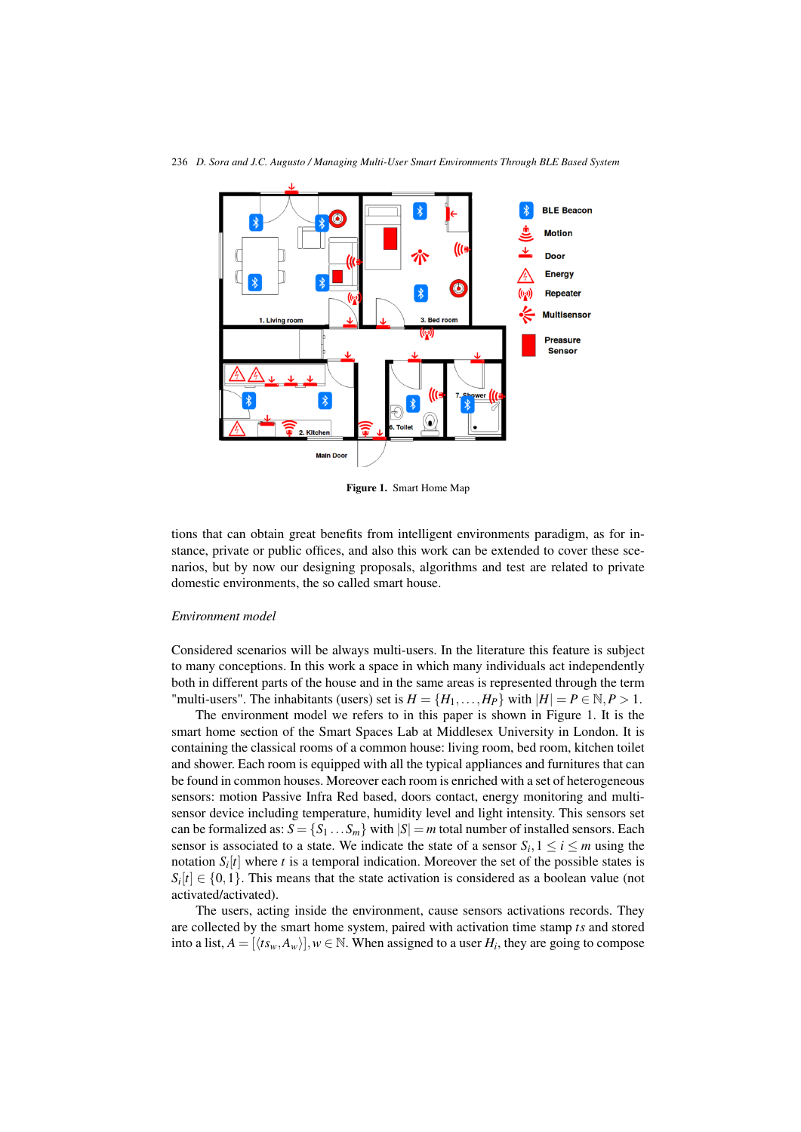

Figure 1. Smart Home Map

tions that can obtain great benefits from intelligent environments paradigm, as for instance, private or public offices, and also this work can be extended to cover these scenarios, but by now our designing proposals, algorithms and test are related to private domestic environments, the so called smart house.

#### *Environment model*

Considered scenarios will be always multi-users. In the literature this feature is subject to many conceptions. In this work a space in which many individuals act independently both in different parts of the house and in the same areas is represented through the term "multi-users". The inhabitants (users) set is  $H = \{H_1, \ldots, H_p\}$  with  $|H| = P \in \mathbb{N}, P > 1$ .

The environment model we refers to in this paper is shown in Figure 1. It is the smart home section of the Smart Spaces Lab at Middlesex University in London. It is containing the classical rooms of a common house: living room, bed room, kitchen toilet and shower. Each room is equipped with all the typical appliances and furnitures that can be found in common houses. Moreover each room is enriched with a set of heterogeneous sensors: motion Passive Infra Red based, doors contact, energy monitoring and multisensor device including temperature, humidity level and light intensity. This sensors set can be formalized as:  $S = \{S_1 \dots S_m\}$  with  $|S| = m$  total number of installed sensors. Each sensor is associated to a state. We indicate the state of a sensor  $S_i, 1 \le i \le m$  using the notation  $S_i[t]$  where *t* is a temporal indication. Moreover the set of the possible states is  $S_i[t] \in \{0, 1\}$ . This means that the state activation is considered as a boolean value (not activated/activated).

The users, acting inside the environment, cause sensors activations records. They are collected by the smart home system, paired with activation time stamp *ts* and stored into a list,  $A = [\langle ts_w, A_w \rangle], w \in \mathbb{N}$ . When assigned to a user  $H_i$ , they are going to compose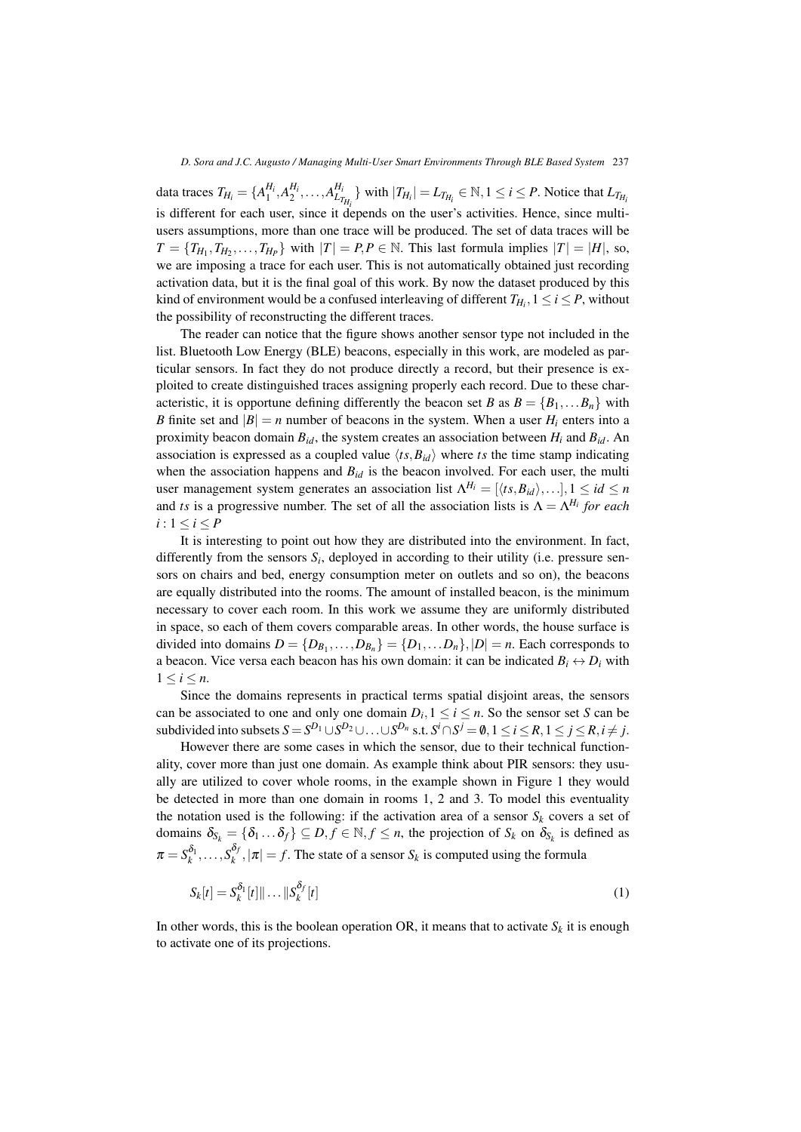data traces  $T_{H_i} = \{A_1^{H_i}, A_2^{H_i}, \dots, A_{L_{T_{H_i}}}^{H_i}\}$  with  $|T_{H_i}| = L_{T_{H_i}} \in \mathbb{N}, 1 \le i \le P$ . Notice that  $L_{T_{H_i}}$ is different for each user, since it depends on the user's activities. Hence, since multiusers assumptions, more than one trace will be produced. The set of data traces will be  $T = \{T_{H_1}, T_{H_2}, \ldots, T_{H_P}\}\$  with  $|T| = P, P \in \mathbb{N}$ . This last formula implies  $|T| = |H|$ , so, we are imposing a trace for each user. This is not automatically obtained just recording activation data, but it is the final goal of this work. By now the dataset produced by this kind of environment would be a confused interleaving of different  $T_{H_i}$ ,  $1 \le i \le P$ , without the possibility of reconstructing the different traces.

The reader can notice that the figure shows another sensor type not included in the list. Bluetooth Low Energy (BLE) beacons, especially in this work, are modeled as particular sensors. In fact they do not produce directly a record, but their presence is exploited to create distinguished traces assigning properly each record. Due to these characteristic, it is opportune defining differently the beacon set *B* as  $B = \{B_1, \ldots, B_n\}$  with *B* finite set and  $|B| = n$  number of beacons in the system. When a user  $H_i$  enters into a proximity beacon domain  $B_{id}$ , the system creates an association between  $H_i$  and  $B_{id}$ . An association is expressed as a coupled value  $\langle ts, B_{id} \rangle$  where *ts* the time stamp indicating when the association happens and  $B_{id}$  is the beacon involved. For each user, the multi user management system generates an association list  $\Lambda^{H_i} = [\langle ts, B_{id} \rangle, \ldots, 1, 1 \leq id \leq n]$ and *ts* is a progressive number. The set of all the association lists is  $\Lambda = \Lambda^{H_i}$  *for each*  $i: 1 \leq i \leq P$ 

It is interesting to point out how they are distributed into the environment. In fact, differently from the sensors  $S_i$ , deployed in according to their utility (i.e. pressure sensors on chairs and bed, energy consumption meter on outlets and so on), the beacons are equally distributed into the rooms. The amount of installed beacon, is the minimum necessary to cover each room. In this work we assume they are uniformly distributed in space, so each of them covers comparable areas. In other words, the house surface is divided into domains  $D = \{D_{B_1}, \ldots, D_{B_n}\} = \{D_1, \ldots, D_n\}, |D| = n$ . Each corresponds to a beacon. Vice versa each beacon has his own domain: it can be indicated  $B_i \leftrightarrow D_i$  with  $1 \le i \le n$ .

Since the domains represents in practical terms spatial disjoint areas, the sensors can be associated to one and only one domain  $D_i$ ,  $1 \le i \le n$ . So the sensor set *S* can be subdivided into subsets  $S = S^{D_1} \cup S^{D_2} \cup \ldots \cup S^{D_n}$  s.t.  $S^i \cap S^j = \emptyset$ ,  $1 \le i \le R$ ,  $1 \le j \le R$ ,  $i \ne j$ .

However there are some cases in which the sensor, due to their technical functionality, cover more than just one domain. As example think about PIR sensors: they usually are utilized to cover whole rooms, in the example shown in Figure 1 they would be detected in more than one domain in rooms 1, 2 and 3. To model this eventuality the notation used is the following: if the activation area of a sensor  $S_k$  covers a set of domains  $\delta_{S_k} = {\delta_1 \dots \delta_f} \subseteq D, f \in \mathbb{N}, f \leq n$ , the projection of  $S_k$  on  $\delta_{S_k}$  is defined as  $\pi = S_k^{\delta_1}, \ldots, S_k^{\delta_f}, |\pi| = f$ . The state of a sensor  $S_k$  is computed using the formula

$$
S_k[t] = S_k^{\delta_1}[t] \| \dots \| S_k^{\delta_f}[t] \tag{1}
$$

In other words, this is the boolean operation OR, it means that to activate  $S_k$  it is enough to activate one of its projections.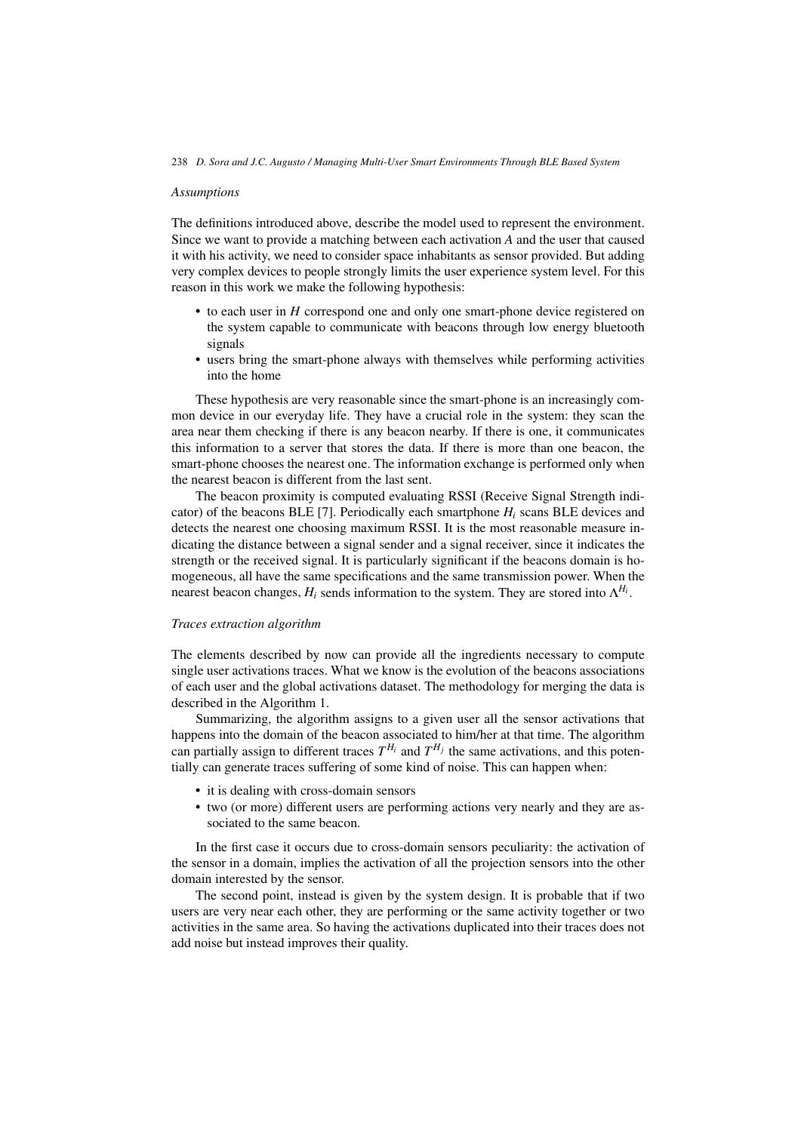### *Assumptions*

The definitions introduced above, describe the model used to represent the environment. Since we want to provide a matching between each activation *A* and the user that caused it with his activity, we need to consider space inhabitants as sensor provided. But adding very complex devices to people strongly limits the user experience system level. For this reason in this work we make the following hypothesis:

- to each user in *H* correspond one and only one smart-phone device registered on the system capable to communicate with beacons through low energy bluetooth signals
- users bring the smart-phone always with themselves while performing activities into the home

These hypothesis are very reasonable since the smart-phone is an increasingly common device in our everyday life. They have a crucial role in the system: they scan the area near them checking if there is any beacon nearby. If there is one, it communicates this information to a server that stores the data. If there is more than one beacon, the smart-phone chooses the nearest one. The information exchange is performed only when the nearest beacon is different from the last sent.

The beacon proximity is computed evaluating RSSI (Receive Signal Strength indicator) of the beacons BLE [7]. Periodically each smartphone  $H_i$  scans BLE devices and detects the nearest one choosing maximum RSSI. It is the most reasonable measure indicating the distance between a signal sender and a signal receiver, since it indicates the strength or the received signal. It is particularly significant if the beacons domain is homogeneous, all have the same specifications and the same transmission power. When the nearest beacon changes,  $H_i$  sends information to the system. They are stored into  $\Lambda^{H_i}$ .

### *Traces extraction algorithm*

The elements described by now can provide all the ingredients necessary to compute single user activations traces. What we know is the evolution of the beacons associations of each user and the global activations dataset. The methodology for merging the data is described in the Algorithm 1.

Summarizing, the algorithm assigns to a given user all the sensor activations that happens into the domain of the beacon associated to him/her at that time. The algorithm can partially assign to different traces  $T^{H_i}$  and  $T^{H_j}$  the same activations, and this potentially can generate traces suffering of some kind of noise. This can happen when:

- it is dealing with cross-domain sensors
- two (or more) different users are performing actions very nearly and they are associated to the same beacon.

In the first case it occurs due to cross-domain sensors peculiarity: the activation of the sensor in a domain, implies the activation of all the projection sensors into the other domain interested by the sensor.

The second point, instead is given by the system design. It is probable that if two users are very near each other, they are performing or the same activity together or two activities in the same area. So having the activations duplicated into their traces does not add noise but instead improves their quality.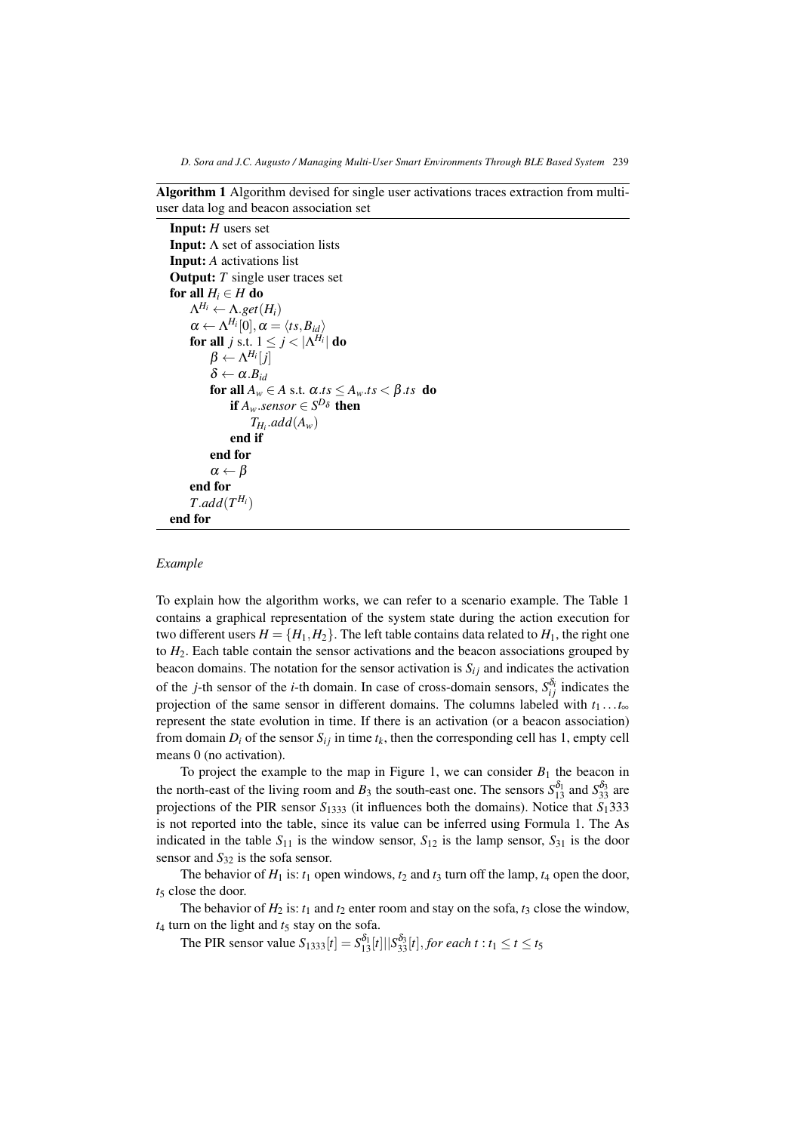Algorithm 1 Algorithm devised for single user activations traces extraction from multiuser data log and beacon association set

```
Input: H users set
Input: \Lambda set of association lists
Input: A activations list
Output: T single user traces set
for all H_i \in H do
     \Lambda^{H_i} \leftarrow \Lambda.get(H_i)\alpha \leftarrow \Lambda^{H_i}[0], \alpha = \langle ts, B_{id} \ranglefor all j s.t. 1 \le j < |\Lambda^{H_i}| do
           \beta \leftarrow \Lambda^{H_i}[j]\delta \leftarrow \alpha.B_{id}for all A_w \in A s.t. \alpha.ts \leq A_w.ts \lt \beta.ts do
                 if A_w.sensor \in S^{D_{\delta}} then
                       THi
.add(Aw)
                 end if
           end for
           \alpha \leftarrow \betaend for
      T.add(T^{H_i})end for
```
#### *Example*

To explain how the algorithm works, we can refer to a scenario example. The Table 1 contains a graphical representation of the system state during the action execution for two different users  $H = \{H_1, H_2\}$ . The left table contains data related to  $H_1$ , the right one to  $H_2$ . Each table contain the sensor activations and the beacon associations grouped by beacon domains. The notation for the sensor activation is  $S_{ij}$  and indicates the activation of the *j*-th sensor of the *i*-th domain. In case of cross-domain sensors,  $S_{ij}^{\delta_i}$  indicates the projection of the same sensor in different domains. The columns labeled with *t*<sup>1</sup> ...*t*<sup>∞</sup> represent the state evolution in time. If there is an activation (or a beacon association) from domain  $D_i$  of the sensor  $S_{ij}$  in time  $t_k$ , then the corresponding cell has 1, empty cell means 0 (no activation).

To project the example to the map in Figure 1, we can consider  $B_1$  the beacon in the north-east of the living room and  $B_3$  the south-east one. The sensors  $S_{13}^{\delta_1}$  and  $S_{33}^{\delta_3}$  are projections of the PIR sensor  $S_{1333}$  (it influences both the domains). Notice that  $S_1$ 333 is not reported into the table, since its value can be inferred using Formula 1. The As indicated in the table  $S_{11}$  is the window sensor,  $S_{12}$  is the lamp sensor,  $S_{31}$  is the door sensor and  $S_{32}$  is the sofa sensor.

The behavior of  $H_1$  is:  $t_1$  open windows,  $t_2$  and  $t_3$  turn off the lamp,  $t_4$  open the door, *t*<sup>5</sup> close the door.

The behavior of  $H_2$  is:  $t_1$  and  $t_2$  enter room and stay on the sofa,  $t_3$  close the window,  $t_4$  turn on the light and  $t_5$  stay on the sofa.

The PIR sensor value  $S_{1333}[t] = S_{13}^{\delta_1}[t] \cdot |S_{33}^{\delta_3}[t]$ , *for each t* :  $t_1 \le t \le t_5$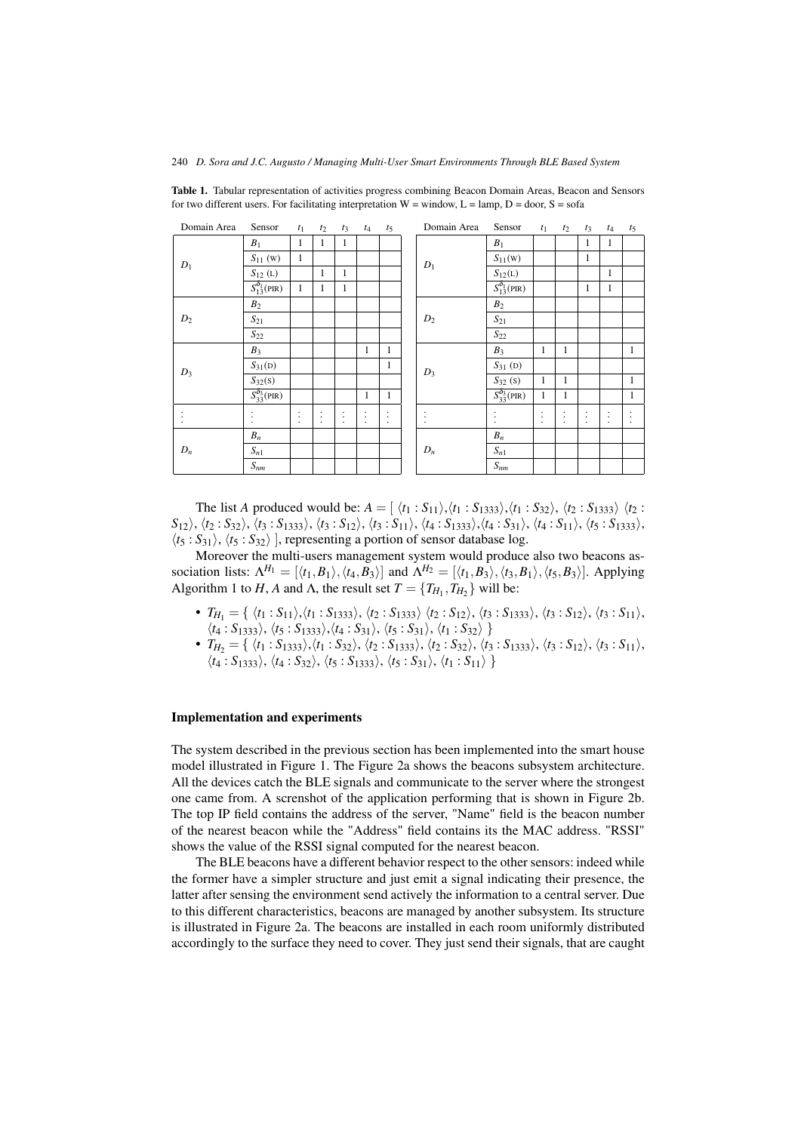| Domain Area | Sensor                    | $t_1$                         | t <sub>2</sub>                         | $t_3$                         | $t_4$                         | t <sub>5</sub>                  |       | Domain Area               | Sensor         | $t_1$                           | t <sub>2</sub>      | $t_3$                   | $t_4$                        | $t_5$          |
|-------------|---------------------------|-------------------------------|----------------------------------------|-------------------------------|-------------------------------|---------------------------------|-------|---------------------------|----------------|---------------------------------|---------------------|-------------------------|------------------------------|----------------|
| $D_1$       | $B_1$                     | 1                             | 1                                      | 1                             |                               |                                 |       | $D_1$                     | $B_1$          |                                 |                     | 1                       | 1                            |                |
|             | $S_{11}$ (w)              | 1                             |                                        |                               |                               |                                 |       |                           | $S_{11}(w)$    |                                 |                     | 1                       |                              |                |
|             | $S_{12}$ (L)              |                               | 1                                      | 1                             |                               |                                 |       |                           | $S_{12}(L)$    |                                 |                     |                         | 1                            |                |
|             | $S_{13}^{\delta_1}$ (PIR) | 1                             | 1                                      | 1                             |                               |                                 |       | $S_{13}^{\delta_1}$ (PIR) |                |                                 | 1                   | 1                       |                              |                |
| $D_2$       | B <sub>2</sub>            |                               |                                        |                               |                               |                                 |       | $D_2$                     | B <sub>2</sub> |                                 |                     |                         |                              |                |
|             | $S_{21}$                  |                               |                                        |                               |                               |                                 |       |                           | $S_{21}$       |                                 |                     |                         |                              |                |
|             | $S_{22}$                  |                               |                                        |                               |                               |                                 |       |                           | $S_{22}$       |                                 |                     |                         |                              |                |
| $D_3$       | $B_3$                     |                               |                                        |                               | 1                             | 1                               |       |                           | $B_3$          | $\mathbf{1}$                    | $\mathbf{1}$        |                         |                              | $\mathbf{1}$   |
|             | $S_{31}(D)$               |                               |                                        |                               |                               | 1                               | $D_3$ | $S_{31}$ (D)              |                |                                 |                     |                         |                              |                |
|             | $S_{32}(s)$               |                               |                                        |                               |                               |                                 |       | $S_{32}(s)$               | $\mathbf{1}$   | 1                               |                     |                         | 1                            |                |
|             | $S_{33}^{\delta_3}$ (PIR) |                               |                                        |                               | $\mathbf{1}$                  | 1                               |       | $S_{33}^{\delta_3}$ (PIR) | $\mathbf{1}$   | $\mathbf{1}$                    |                     |                         | 1                            |                |
|             | $\bullet$<br>×            | $\cdot$<br>$\cdot$<br>$\cdot$ | $\bullet$<br>$\bullet$<br>$\mathbf{r}$ | $\cdot$<br>$\cdot$<br>$\cdot$ | $\cdot$<br>$\cdot$<br>$\cdot$ | $\cdot$<br>$\bullet$<br>$\cdot$ |       |                           |                | $\cdot$<br>$\bullet$<br>$\cdot$ | ٠<br>٠<br>$\bullet$ | ٠<br>$\cdot$<br>$\cdot$ | ٠<br>$\cdot$<br>$\mathbf{r}$ | $\blacksquare$ |
| $D_n$       | $B_n$                     |                               |                                        |                               |                               |                                 |       | $D_n$                     | $B_n$          |                                 |                     |                         |                              |                |
|             | $S_{n1}$                  |                               |                                        |                               |                               |                                 |       |                           | $S_{n1}$       |                                 |                     |                         |                              |                |
|             | $S_{nm}$                  |                               |                                        |                               |                               |                                 |       |                           | $S_{nm}$       |                                 |                     |                         |                              |                |

Table 1. Tabular representation of activities progress combining Beacon Domain Areas, Beacon and Sensors for two different users. For facilitating interpretation  $W =$  window,  $L =$  lamp,  $D =$  door,  $S =$  sofa

The list *A* produced would be:  $A = \frac{1}{t_1}$ :  $S_{11}$ ,  $\frac{1}{t_1}$ :  $S_{1333}$ ,  $\frac{1}{t_1}$ :  $S_{32}$ ,  $\frac{1}{t_2}$ :  $S_{1333}$ ,  $\frac{1}{t_2}$ :  $S_{12}$ ,  $\langle t_2 : S_{32} \rangle$ ,  $\langle t_3 : S_{1333} \rangle$ ,  $\langle t_3 : S_{12} \rangle$ ,  $\langle t_3 : S_{11} \rangle$ ,  $\langle t_4 : S_{1333} \rangle$ ,  $\langle t_4 : S_{31} \rangle$ ,  $\langle t_4 : S_{11} \rangle$ ,  $\langle t_5 : S_{1333} \rangle$ ,  $\langle t_5 : S_{31} \rangle$ ,  $\langle t_5 : S_{32} \rangle$ , representing a portion of sensor database log.

Moreover the multi-users management system would produce also two beacons association lists:  $\Lambda^{H_1} = [\langle t_1, B_1 \rangle, \langle t_4, B_3 \rangle]$  and  $\Lambda^{H_2} = [\langle t_1, B_3 \rangle, \langle t_3, B_1 \rangle, \langle t_5, B_3 \rangle]$ . Applying Algorithm 1 to *H*, *A* and *A*, the result set  $T = \{T_H, T_H\}$  will be:

- $T_{H_1} = \{ \langle t_1 : S_{11} \rangle, \langle t_1 : S_{1333} \rangle, \langle t_2 : S_{1333} \rangle, \langle t_2 : S_{12} \rangle, \langle t_3 : S_{1333} \rangle, \langle t_3 : S_{12} \rangle, \langle t_3 : S_{11} \rangle,$  $\langle t_4 : S_{1333} \rangle$ ,  $\langle t_5 : S_{1333} \rangle$ ,  $\langle t_4 : S_{31} \rangle$ ,  $\langle t_5 : S_{31} \rangle$ ,  $\langle t_1 : S_{32} \rangle$
- $T_{H_2} = \{ \langle t_1 : S_{1333} \rangle, \langle t_1 : S_{32} \rangle, \langle t_2 : S_{1333} \rangle, \langle t_2 : S_{32} \rangle, \langle t_3 : S_{1333} \rangle, \langle t_3 : S_{12} \rangle, \langle t_3 : S_{11} \rangle,$  $\langle t_4 : S_{1333} \rangle$ ,  $\langle t_4 : S_{32} \rangle$ ,  $\langle t_5 : S_{1333} \rangle$ ,  $\langle t_5 : S_{31} \rangle$ ,  $\langle t_1 : S_{11} \rangle$

#### Implementation and experiments

The system described in the previous section has been implemented into the smart house model illustrated in Figure 1. The Figure 2a shows the beacons subsystem architecture. All the devices catch the BLE signals and communicate to the server where the strongest one came from. A screnshot of the application performing that is shown in Figure 2b. The top IP field contains the address of the server, "Name" field is the beacon number of the nearest beacon while the "Address" field contains its the MAC address. "RSSI" shows the value of the RSSI signal computed for the nearest beacon.

The BLE beacons have a different behavior respect to the other sensors: indeed while the former have a simpler structure and just emit a signal indicating their presence, the latter after sensing the environment send actively the information to a central server. Due to this different characteristics, beacons are managed by another subsystem. Its structure is illustrated in Figure 2a. The beacons are installed in each room uniformly distributed accordingly to the surface they need to cover. They just send their signals, that are caught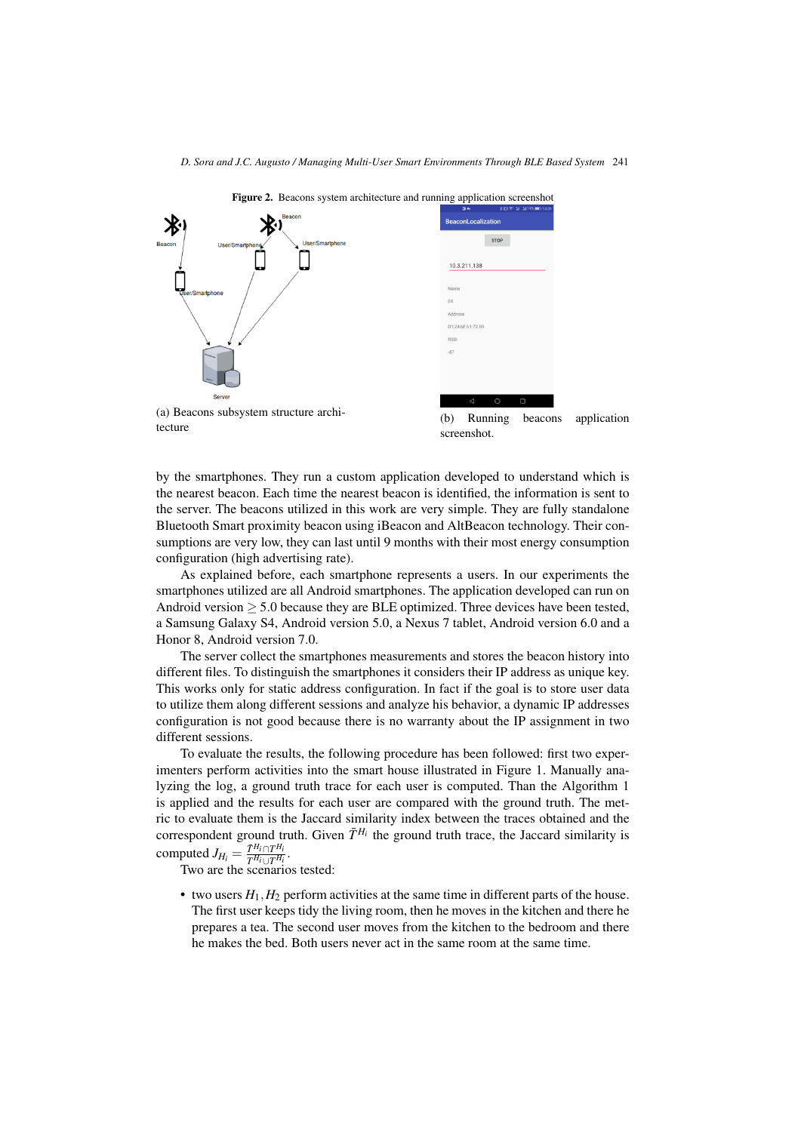

Figure 2. Beacons system architecture and running application screenshot

(b) Running beacons application<br>tecture screenshot screenshot.

by the smartphones. They run a custom application developed to understand which is the nearest beacon. Each time the nearest beacon is identified, the information is sent to the server. The beacons utilized in this work are very simple. They are fully standalone Bluetooth Smart proximity beacon using iBeacon and AltBeacon technology. Their consumptions are very low, they can last until 9 months with their most energy consumption configuration (high advertising rate).

As explained before, each smartphone represents a users. In our experiments the smartphones utilized are all Android smartphones. The application developed can run on Android version  $> 5.0$  because they are BLE optimized. Three devices have been tested, a Samsung Galaxy S4, Android version 5.0, a Nexus 7 tablet, Android version 6.0 and a Honor 8, Android version 7.0.

The server collect the smartphones measurements and stores the beacon history into different files. To distinguish the smartphones it considers their IP address as unique key. This works only for static address configuration. In fact if the goal is to store user data to utilize them along different sessions and analyze his behavior, a dynamic IP addresses configuration is not good because there is no warranty about the IP assignment in two different sessions.

To evaluate the results, the following procedure has been followed: first two experimenters perform activities into the smart house illustrated in Figure 1. Manually analyzing the log, a ground truth trace for each user is computed. Than the Algorithm 1 is applied and the results for each user are compared with the ground truth. The metric to evaluate them is the Jaccard similarity index between the traces obtained and the correspondent ground truth. Given  $\bar{T}^{H_i}$  the ground truth trace, the Jaccard similarity is computed  $J_{H_i} = \frac{\bar{T}^{H_i} \cap T^{H_i}}{T^{H_i} \cup T^{H_i}}$ .

Two are the scenarios tested:

• two users  $H_1$ ,  $H_2$  perform activities at the same time in different parts of the house. The first user keeps tidy the living room, then he moves in the kitchen and there he prepares a tea. The second user moves from the kitchen to the bedroom and there he makes the bed. Both users never act in the same room at the same time.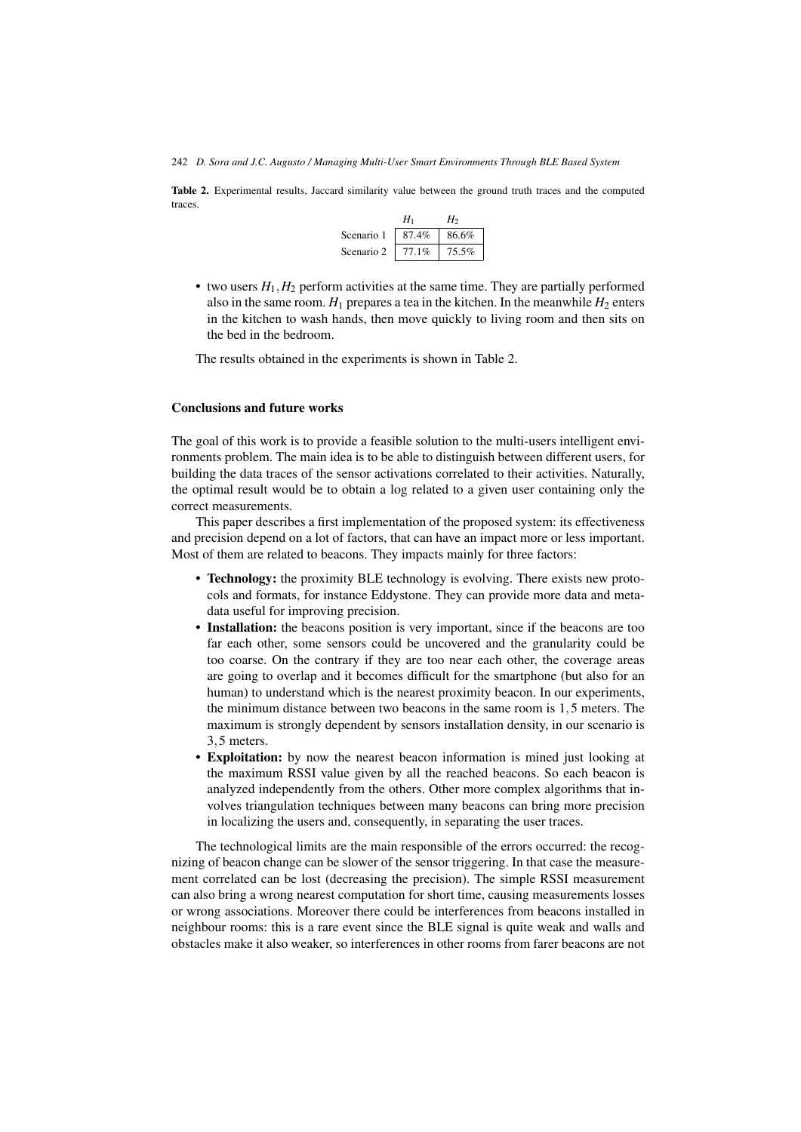Table 2. Experimental results, Jaccard similarity value between the ground truth traces and the computed traces.

|            | H۱    | H <sub>2</sub> |
|------------|-------|----------------|
| Scenario 1 | 87.4% | 86.6%          |
| Scenario 2 | 77.1% | 75.5%          |

• two users  $H_1$ ,  $H_2$  perform activities at the same time. They are partially performed also in the same room.  $H_1$  prepares a tea in the kitchen. In the meanwhile  $H_2$  enters in the kitchen to wash hands, then move quickly to living room and then sits on the bed in the bedroom.

The results obtained in the experiments is shown in Table 2.

# Conclusions and future works

The goal of this work is to provide a feasible solution to the multi-users intelligent environments problem. The main idea is to be able to distinguish between different users, for building the data traces of the sensor activations correlated to their activities. Naturally, the optimal result would be to obtain a log related to a given user containing only the correct measurements.

This paper describes a first implementation of the proposed system: its effectiveness and precision depend on a lot of factors, that can have an impact more or less important. Most of them are related to beacons. They impacts mainly for three factors:

- Technology: the proximity BLE technology is evolving. There exists new protocols and formats, for instance Eddystone. They can provide more data and metadata useful for improving precision.
- Installation: the beacons position is very important, since if the beacons are too far each other, some sensors could be uncovered and the granularity could be too coarse. On the contrary if they are too near each other, the coverage areas are going to overlap and it becomes difficult for the smartphone (but also for an human) to understand which is the nearest proximity beacon. In our experiments, the minimum distance between two beacons in the same room is 1,5 meters. The maximum is strongly dependent by sensors installation density, in our scenario is 3,5 meters.
- Exploitation: by now the nearest beacon information is mined just looking at the maximum RSSI value given by all the reached beacons. So each beacon is analyzed independently from the others. Other more complex algorithms that involves triangulation techniques between many beacons can bring more precision in localizing the users and, consequently, in separating the user traces.

The technological limits are the main responsible of the errors occurred: the recognizing of beacon change can be slower of the sensor triggering. In that case the measurement correlated can be lost (decreasing the precision). The simple RSSI measurement can also bring a wrong nearest computation for short time, causing measurements losses or wrong associations. Moreover there could be interferences from beacons installed in neighbour rooms: this is a rare event since the BLE signal is quite weak and walls and obstacles make it also weaker, so interferences in other rooms from farer beacons are not